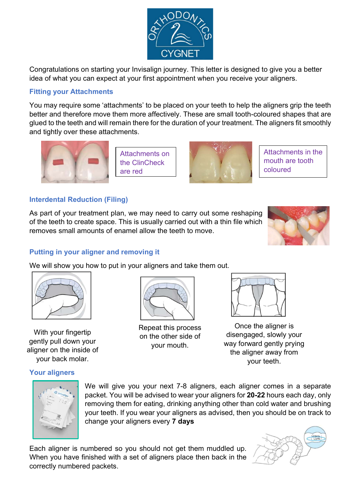

Congratulations on starting your Invisalign journey. This letter is designed to give you a better idea of what you can expect at your first appointment when you receive your aligners.

# Fitting your Attachments

You may require some 'attachments' to be placed on your teeth to help the aligners grip the teeth better and therefore move them more affectively. These are small tooth-coloured shapes that are glued to the teeth and will remain there for the duration of your treatment. The aligners fit smoothly and tightly over these attachments.



Attachments on the ClinCheck are red



Attachments in the mouth are tooth coloured

# Interdental Reduction (Filing)

As part of your treatment plan, we may need to carry out some reshaping of the teeth to create space. This is usually carried out with a thin file which removes small amounts of enamel allow the teeth to move.



# Putting in your aligner and removing it

We will show you how to put in your aligners and take them out.



With your fingertip gently pull down your aligner on the inside of your back molar.



Repeat this process on the other side of your mouth.



Once the aligner is disengaged, slowly your way forward gently prying the aligner away from your teeth.



Your aligners

We will give you your next 7-8 aligners, each aligner comes in a separate packet. You will be advised to wear your aligners for 20-22 hours each day, only removing them for eating, drinking anything other than cold water and brushing your teeth. If you wear your aligners as advised, then you should be on track to change your aligners every 7 days

Each aligner is numbered so you should not get them muddled up. When you have finished with a set of aligners place then back in the correctly numbered packets.